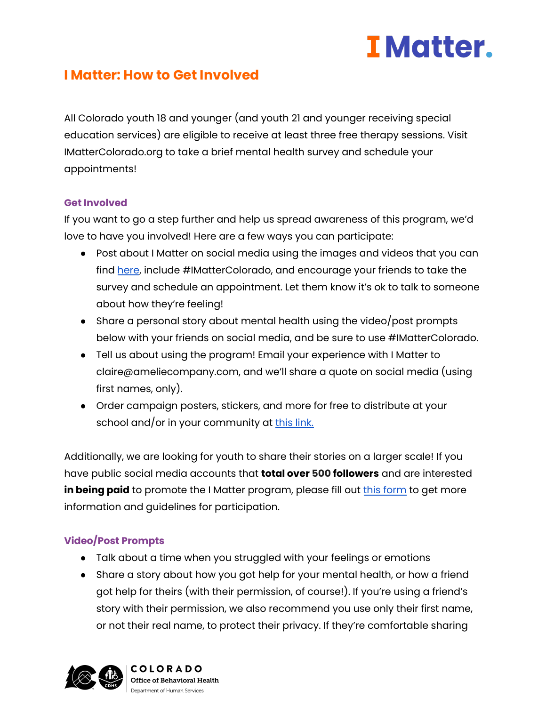

## **I Matter: How to Get Involved**

All Colorado youth 18 and younger (and youth 21 and younger receiving special education services) are eligible to receive at least three free therapy sessions. Visit IMatterColorado.org to take a brief mental health survey and schedule your appointments!

## **Get Involved**

If you want to go a step further and help us spread awareness of this program, we'd love to have you involved! Here are a few ways you can participate:

- Post about I Matter on social media using the images and videos that you can find [here](https://www.dropbox.com/sh/l0gxtdzi69np9w9/AADpn511EUKT1DtuDM1V04eVa?dl=0), include #IMatterColorado, and encourage your friends to take the survey and schedule an appointment. Let them know it's ok to talk to someone about how they're feeling!
- Share a personal story about mental health using the video/post prompts below with your friends on social media, and be sure to use #IMatterColorado.
- Tell us about using the program! Email your experience with I Matter to claire@ameliecompany.com, and we'll share a quote on social media (using first names, only).
- Order campaign posters, stickers, and more for free to distribute at your school and/or in your community at this [link.](https://docs.google.com/forms/d/119DtXBR9Vf4FgfA0JtUOjh0NB_OkBtlhLOkiQF5p_Jg/edit)

Additionally, we are looking for youth to share their stories on a larger scale! If you have public social media accounts that **total over 500 followers** and are interested **in being paid** to promote the I Matter program, please fill out this [form](https://forms.gle/u9eKkzutqNpMLQgw7) to get more information and guidelines for participation.

## **Video/Post Prompts**

- Talk about a time when you struggled with your feelings or emotions
- Share a story about how you got help for your mental health, or how a friend got help for theirs (with their permission, of course!). If you're using a friend's story with their permission, we also recommend you use only their first name, or not their real name, to protect their privacy. If they're comfortable sharing